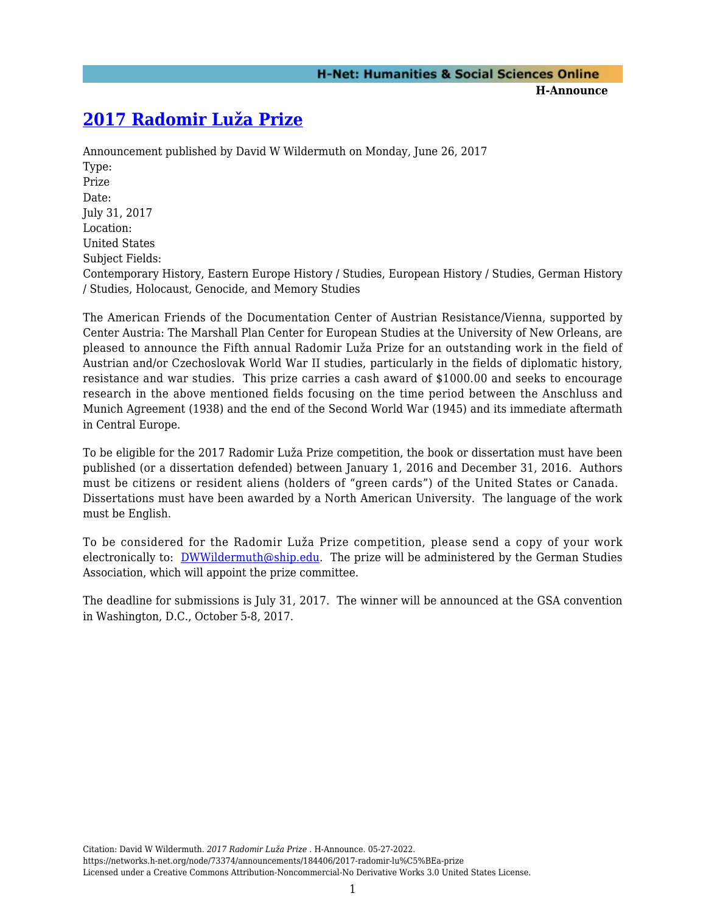## **[2017 Radomir Luža Prize](https://networks.h-net.org/node/73374/announcements/184406/2017-radomir-lu%C5%BEa-prize)**

Announcement published by David W Wildermuth on Monday, June 26, 2017 Type: Prize Date: July 31, 2017 Location: United States Subject Fields: Contemporary History, Eastern Europe History / Studies, European History / Studies, German History / Studies, Holocaust, Genocide, and Memory Studies

The American Friends of the Documentation Center of Austrian Resistance/Vienna, supported by Center Austria: The Marshall Plan Center for European Studies at the University of New Orleans, are pleased to announce the Fifth annual Radomir Luža Prize for an outstanding work in the field of Austrian and/or Czechoslovak World War II studies, particularly in the fields of diplomatic history, resistance and war studies. This prize carries a cash award of \$1000.00 and seeks to encourage research in the above mentioned fields focusing on the time period between the Anschluss and Munich Agreement (1938) and the end of the Second World War (1945) and its immediate aftermath in Central Europe.

To be eligible for the 2017 Radomir Luža Prize competition, the book or dissertation must have been published (or a dissertation defended) between January 1, 2016 and December 31, 2016. Authors must be citizens or resident aliens (holders of "green cards") of the United States or Canada. Dissertations must have been awarded by a North American University. The language of the work must be English.

To be considered for the Radomir Luža Prize competition, please send a copy of your work electronically to: [DWWildermuth@ship.edu](mailto:DWWildermuth@ship.edu). The prize will be administered by the German Studies Association, which will appoint the prize committee.

The deadline for submissions is July 31, 2017. The winner will be announced at the GSA convention in Washington, D.C., October 5-8, 2017.